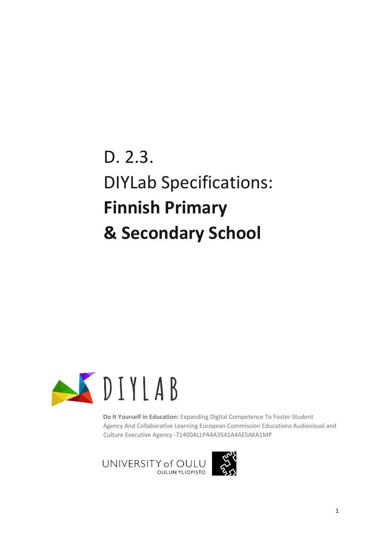D. 2.3. DIYLab Specifications: **Finnish Primary & Secondary School**



**Do It Yourself in Education:** Expanding Digital Competence To Foster Student Agency And Collaborative Learning European Commission Educations Audiovisual and Culture Executive Agency -71400ALLPA4A3541A4AESAKA1MP

UNIVERSITY of OULU **OULUN YLIOPISTO** 

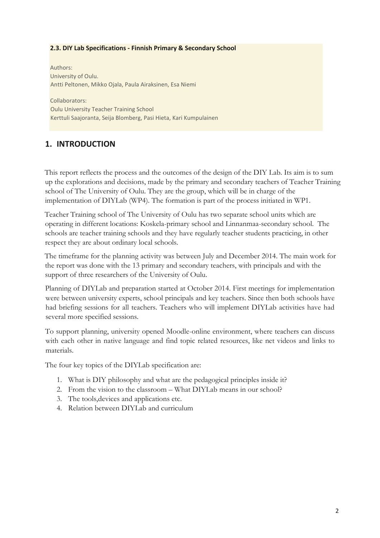#### **2.3. DIY Lab Specifications - Finnish Primary & Secondary School**

Authors: University of Oulu. Antti Peltonen, Mikko Ojala, Paula Airaksinen, Esa Niemi

Collaborators: Oulu University Teacher Training School Kerttuli Saajoranta, Seija Blomberg, Pasi Hieta, Kari Kumpulainen

### **1. INTRODUCTION**

This report reflects the process and the outcomes of the design of the DIY Lab. Its aim is to sum up the explorations and decisions, made by the primary and secondary teachers of Teacher Training school of The University of Oulu. They are the group, which will be in charge of the implementation of DIYLab (WP4). The formation is part of the process initiated in WP1.

Teacher Training school of The University of Oulu has two separate school units which are operating in different locations: Koskela-primary school and Linnanmaa-secondary school. The schools are teacher training schools and they have regularly teacher students practicing, in other respect they are about ordinary local schools.

The timeframe for the planning activity was between July and December 2014. The main work for the report was done with the 13 primary and secondary teachers, with principals and with the support of three researchers of the University of Oulu.

Planning of DIYLab and preparation started at October 2014. First meetings for implementation were between university experts, school principals and key teachers. Since then both schools have had briefing sessions for all teachers. Teachers who will implement DIYLab activities have had several more specified sessions.

To support planning, university opened Moodle-online environment, where teachers can discuss with each other in native language and find topic related resources, like net videos and links to materials.

The four key topics of the DIYLab specification are:

- 1. What is DIY philosophy and what are the pedagogical principles inside it?
- 2. From the vision to the classroom What DIYLab means in our school?
- 3. The tools,devices and applications etc.
- 4. Relation between DIYLab and curriculum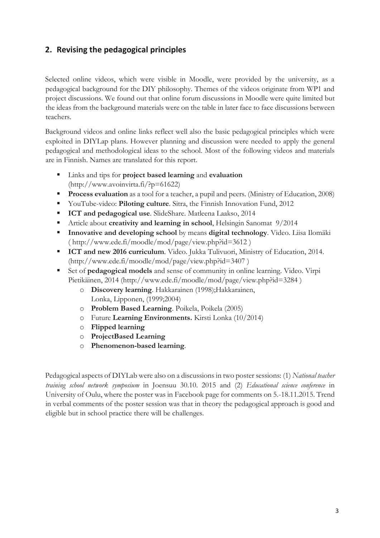## **2. Revising the pedagogical principles**

Selected online videos, which were visible in Moodle, were provided by the university, as a pedagogical background for the DIY philosophy. Themes of the videos originate from WP1 and project discussions. We found out that online forum discussions in Moodle were quite limited but the ideas from the background materials were on the table in later face to face discussions between teachers.

Background videos and online links reflect well also the basic pedagogical principles which were exploited in DIYLap plans. However planning and discussion were needed to apply the general pedagogical and methodological ideas to the school. Most of the following videos and materials are in Finnish. Names are translated for this report.

- Links and tips for **project based learning** and **evaluation** [\(http://www.avoinvirta.fi/?p=61622\)](http://www.avoinvirta.fi/?p=61622)
- **Process evaluation** as a tool for a teacher, a pupil and peers. (Ministry of Education, 2008)
- YouTube-video: **Piloting culture**. Sitra, the Finnish Innovation Fund, 2012
- **ICT and pedagogical use**. SlideShare. Matleena Laakso, 2014
- Article about **creativity and learning in school**, Helsingin Sanomat 9/2014
- **Innovative and developing school** by means **digital technology**. Video. Liisa Ilomäki (<http://www.ede.fi/moodle/mod/page/view.php?id=3612> )
- **ICT and new 2016 curriculum**. Video. Jukka Tulivuori, Ministry of Education, 2014. [\(http://www.ede.fi/moodle/mod/page/view.php?id=3407](http://www.ede.fi/moodle/mod/page/view.php?id=3407) )
- Set of **pedagogical models** and sense of community in online learning. Video. Virpi Pietikäinen, 2014 [\(http://www.ede.fi/moodle/mod/page/view.php?id=3284](http://www.ede.fi/moodle/mod/page/view.php?id=3284) )
	- o **Discovery learning**. Hakkarainen (1998);Hakkarainen, Lonka, Lipponen, (1999;2004)
	- o **Problem Based Learning**. Poikela, Poikela (2005)
	- o Future **Learning Environments.** Kirsti Lonka (10/2014)
	- o **Flipped learning**
	- o **ProjectBased Learning**
	- o **Phenomenon-based learning**.

Pedagogical aspects of DIYLab were also on a discussions in two poster sessions: (1) *National teacher training school network symposium* in Joensuu 30.10. 2015 and (2) *Educational science conference* in University of Oulu, where the poster was in Facebook page for comments on 5.-18.11.2015. Trend in verbal comments of the poster session was that in theory the pedagogical approach is good and eligible but in school practice there will be challenges.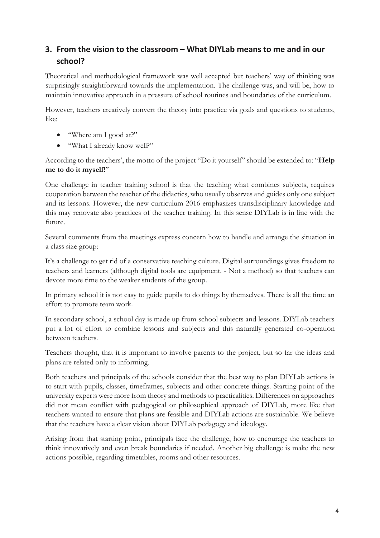## **3. From the vision to the classroom – What DIYLab means to me and in our school?**

Theoretical and methodological framework was well accepted but teachers' way of thinking was surprisingly straightforward towards the implementation. The challenge was, and will be, how to maintain innovative approach in a pressure of school routines and boundaries of the curriculum.

However, teachers creatively convert the theory into practice via goals and questions to students, like:

- "Where am I good at?"
- "What I already know well?"

According to the teachers', the motto of the project "Do it yourself" should be extended to: "**Help me to do it myself!**"

One challenge in teacher training school is that the teaching what combines subjects, requires cooperation between the teacher of the didactics, who usually observes and guides only one subject and its lessons. However, the new curriculum 2016 emphasizes transdisciplinary knowledge and this may renovate also practices of the teacher training. In this sense DIYLab is in line with the future.

Several comments from the meetings express concern how to handle and arrange the situation in a class size group:

It's a challenge to get rid of a conservative teaching culture. Digital surroundings gives freedom to teachers and learners (although digital tools are equipment. - Not a method) so that teachers can devote more time to the weaker students of the group.

In primary school it is not easy to guide pupils to do things by themselves. There is all the time an effort to promote team work.

In secondary school, a school day is made up from school subjects and lessons. DIYLab teachers put a lot of effort to combine lessons and subjects and this naturally generated co-operation between teachers.

Teachers thought, that it is important to involve parents to the project, but so far the ideas and plans are related only to informing.

Both teachers and principals of the schools consider that the best way to plan DIYLab actions is to start with pupils, classes, timeframes, subjects and other concrete things. Starting point of the university experts were more from theory and methods to practicalities. Differences on approaches did not mean conflict with pedagogical or philosophical approach of DIYLab, more like that teachers wanted to ensure that plans are feasible and DIYLab actions are sustainable. We believe that the teachers have a clear vision about DIYLab pedagogy and ideology.

Arising from that starting point, principals face the challenge, how to encourage the teachers to think innovatively and even break boundaries if needed. Another big challenge is make the new actions possible, regarding timetables, rooms and other resources.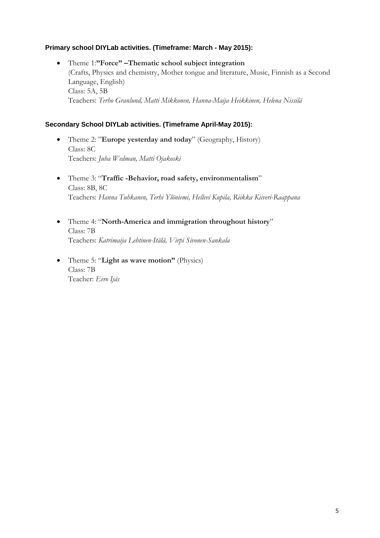### **Primary school DIYLab activities. (Timeframe: March - May 2015):**

 Theme 1:**"Force" –Thematic school subject integration** (Crafts, Physics and chemistry, Mother tongue and literature, Music, Finnish as a Second Language, English) Class: 5A, 5B Teachers: *Terho Granlund, Matti Mikkonen, Hanna-Maija Heikkinen, Helena Nissilä* 

#### **Secondary School DIYLab activities. (Timeframe April-May 2015):**

- Theme 2: "**Europe yesterday and today**" (Geography, History) Class: 8C Teachers: *Juha Wedman, Matti Ojakoski*
- Theme 3: "**Traffic -Behavior, road safety, environmentalism**" Class: 8B, 8C Teachers: *Hanna Tuhkanen, Terhi Ylöniemi, Hellevi Kupila, Riikka Kiiveri-Raappana*
- Theme 4: "**North-America and immigration throughout history**" Class: 7B Teachers: *Katrimaija Lehtinen-Itälä, Virpi Sivonen-Sankala*
- Theme 5: "**Light as wave motion"** (Physics) Class: 7B Teacher: *Eero Ijäs*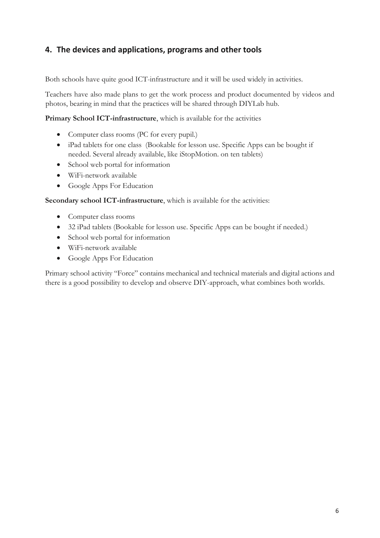## **4. The devices and applications, programs and other tools**

Both schools have quite good ICT-infrastructure and it will be used widely in activities.

Teachers have also made plans to get the work process and product documented by videos and photos, bearing in mind that the practices will be shared through DIYLab hub.

**Primary School ICT-infrastructure**, which is available for the activities

- Computer class rooms (PC for every pupil.)
- iPad tablets for one class (Bookable for lesson use. Specific Apps can be bought if needed. Several already available, like iStopMotion. on ten tablets)
- School web portal for information
- WiFi-network available
- Google Apps For Education

**Secondary school ICT-infrastructure**, which is available for the activities:

- Computer class rooms
- 32 iPad tablets (Bookable for lesson use. Specific Apps can be bought if needed.)
- School web portal for information
- WiFi-network available
- Google Apps For Education

Primary school activity "Force" contains mechanical and technical materials and digital actions and there is a good possibility to develop and observe DIY-approach, what combines both worlds.